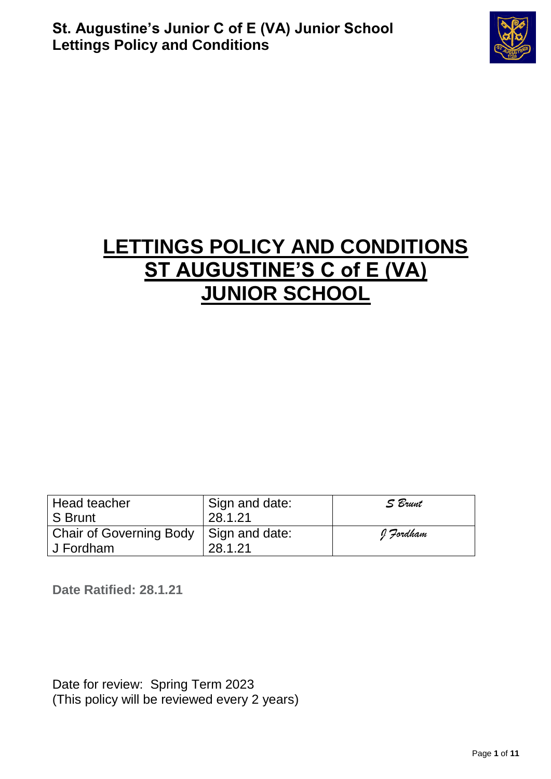

# **LETTINGS POLICY AND CONDITIONS ST AUGUSTINE'S C of E (VA) JUNIOR SCHOOL**

| Head teacher<br>S Brunt                               | ' Sign and date:<br>28.1.21 | S Brunt   |
|-------------------------------------------------------|-----------------------------|-----------|
| Chair of Governing Body   Sign and date:<br>J Fordham | 28.1.21                     | I Fordham |

**Date Ratified: 28.1.21**

Date for review: Spring Term 2023 (This policy will be reviewed every 2 years)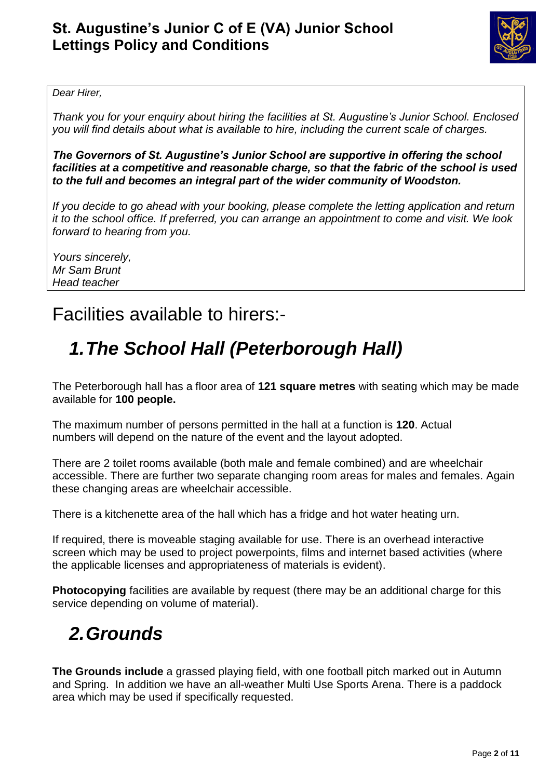

#### *Dear Hirer,*

*Thank you for your enquiry about hiring the facilities at St. Augustine's Junior School. Enclosed you will find details about what is available to hire, including the current scale of charges.* 

*The Governors of St. Augustine's Junior School are supportive in offering the school facilities at a competitive and reasonable charge, so that the fabric of the school is used to the full and becomes an integral part of the wider community of Woodston.*

*If you decide to go ahead with your booking, please complete the letting application and return it to the school office. If preferred, you can arrange an appointment to come and visit. We look forward to hearing from you.*

*Yours sincerely, Mr Sam Brunt Head teacher*

### Facilities available to hirers:-

### *1.The School Hall (Peterborough Hall)*

The Peterborough hall has a floor area of **121 square metres** with seating which may be made available for **100 people.**

The maximum number of persons permitted in the hall at a function is **120**. Actual numbers will depend on the nature of the event and the layout adopted.

There are 2 toilet rooms available (both male and female combined) and are wheelchair accessible. There are further two separate changing room areas for males and females. Again these changing areas are wheelchair accessible.

There is a kitchenette area of the hall which has a fridge and hot water heating urn.

If required, there is moveable staging available for use. There is an overhead interactive screen which may be used to project powerpoints, films and internet based activities (where the applicable licenses and appropriateness of materials is evident).

**Photocopying** facilities are available by request (there may be an additional charge for this service depending on volume of material).

### *2.Grounds*

**The Grounds include** a grassed playing field, with one football pitch marked out in Autumn and Spring. In addition we have an all-weather Multi Use Sports Arena. There is a paddock area which may be used if specifically requested.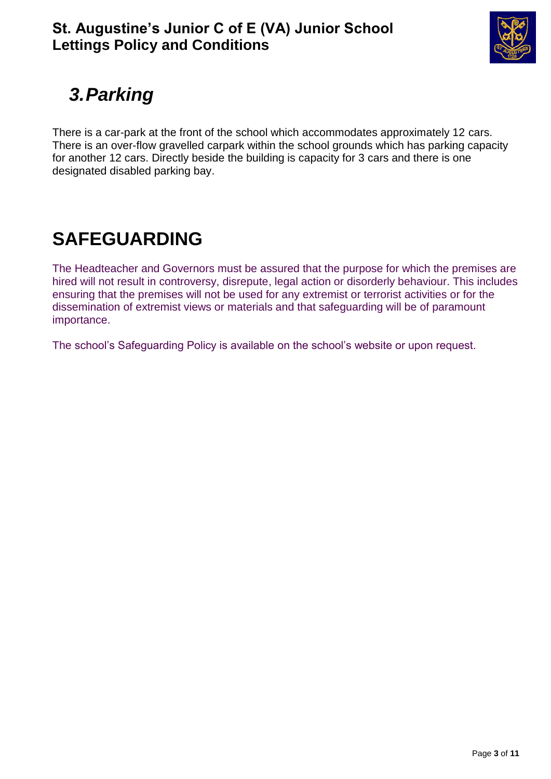

# *3.Parking*

There is a car-park at the front of the school which accommodates approximately 12 cars. There is an over-flow gravelled carpark within the school grounds which has parking capacity for another 12 cars. Directly beside the building is capacity for 3 cars and there is one designated disabled parking bay.

## **SAFEGUARDING**

The Headteacher and Governors must be assured that the purpose for which the premises are hired will not result in controversy, disrepute, legal action or disorderly behaviour. This includes ensuring that the premises will not be used for any extremist or terrorist activities or for the dissemination of extremist views or materials and that safeguarding will be of paramount importance.

The school's Safeguarding Policy is available on the school's website or upon request.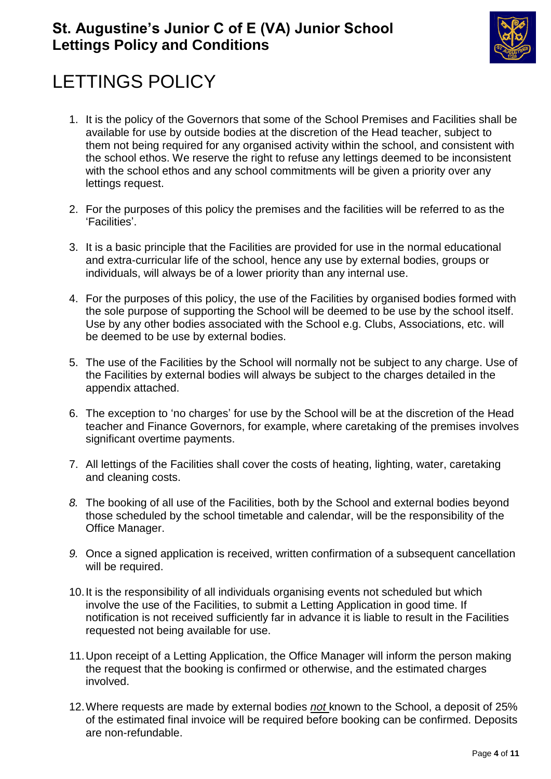

# LETTINGS POLICY

- 1. It is the policy of the Governors that some of the School Premises and Facilities shall be available for use by outside bodies at the discretion of the Head teacher, subject to them not being required for any organised activity within the school, and consistent with the school ethos. We reserve the right to refuse any lettings deemed to be inconsistent with the school ethos and any school commitments will be given a priority over any lettings request.
- 2. For the purposes of this policy the premises and the facilities will be referred to as the 'Facilities'.
- 3. It is a basic principle that the Facilities are provided for use in the normal educational and extra-curricular life of the school, hence any use by external bodies, groups or individuals, will always be of a lower priority than any internal use.
- 4. For the purposes of this policy, the use of the Facilities by organised bodies formed with the sole purpose of supporting the School will be deemed to be use by the school itself. Use by any other bodies associated with the School e.g. Clubs, Associations, etc. will be deemed to be use by external bodies.
- 5. The use of the Facilities by the School will normally not be subject to any charge. Use of the Facilities by external bodies will always be subject to the charges detailed in the appendix attached.
- 6. The exception to 'no charges' for use by the School will be at the discretion of the Head teacher and Finance Governors, for example, where caretaking of the premises involves significant overtime payments.
- 7. All lettings of the Facilities shall cover the costs of heating, lighting, water, caretaking and cleaning costs.
- *8.* The booking of all use of the Facilities, both by the School and external bodies beyond those scheduled by the school timetable and calendar, will be the responsibility of the Office Manager.
- *9.* Once a signed application is received, written confirmation of a subsequent cancellation will be required.
- 10.It is the responsibility of all individuals organising events not scheduled but which involve the use of the Facilities, to submit a Letting Application in good time. If notification is not received sufficiently far in advance it is liable to result in the Facilities requested not being available for use.
- 11.Upon receipt of a Letting Application, the Office Manager will inform the person making the request that the booking is confirmed or otherwise, and the estimated charges involved.
- 12.Where requests are made by external bodies *not* known to the School, a deposit of 25% of the estimated final invoice will be required before booking can be confirmed. Deposits are non-refundable.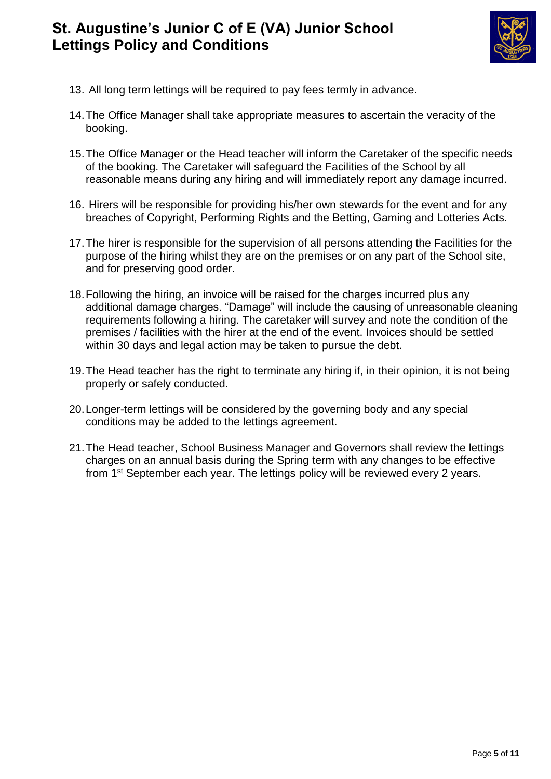

- 13. All long term lettings will be required to pay fees termly in advance.
- 14.The Office Manager shall take appropriate measures to ascertain the veracity of the booking.
- 15.The Office Manager or the Head teacher will inform the Caretaker of the specific needs of the booking. The Caretaker will safeguard the Facilities of the School by all reasonable means during any hiring and will immediately report any damage incurred.
- 16. Hirers will be responsible for providing his/her own stewards for the event and for any breaches of Copyright, Performing Rights and the Betting, Gaming and Lotteries Acts.
- 17.The hirer is responsible for the supervision of all persons attending the Facilities for the purpose of the hiring whilst they are on the premises or on any part of the School site, and for preserving good order.
- 18.Following the hiring, an invoice will be raised for the charges incurred plus any additional damage charges. "Damage" will include the causing of unreasonable cleaning requirements following a hiring. The caretaker will survey and note the condition of the premises / facilities with the hirer at the end of the event. Invoices should be settled within 30 days and legal action may be taken to pursue the debt.
- 19.The Head teacher has the right to terminate any hiring if, in their opinion, it is not being properly or safely conducted.
- 20.Longer-term lettings will be considered by the governing body and any special conditions may be added to the lettings agreement.
- 21.The Head teacher, School Business Manager and Governors shall review the lettings charges on an annual basis during the Spring term with any changes to be effective from 1<sup>st</sup> September each year. The lettings policy will be reviewed every 2 years.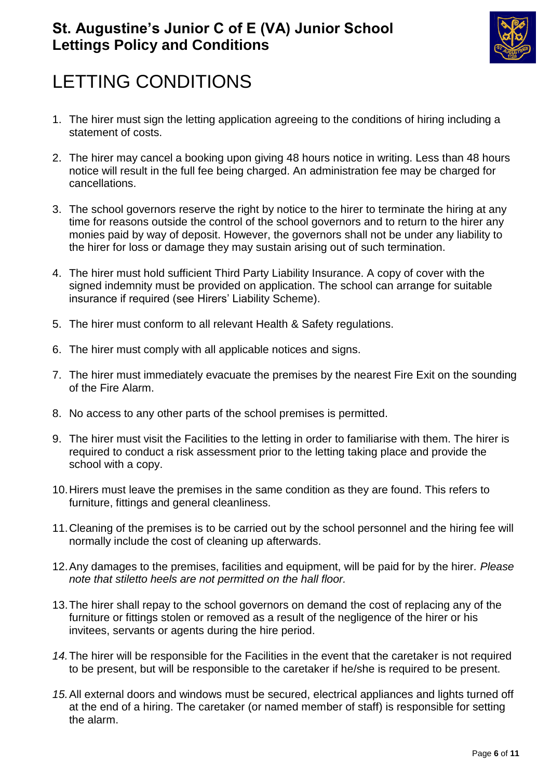

## LETTING CONDITIONS

- 1. The hirer must sign the letting application agreeing to the conditions of hiring including a statement of costs.
- 2. The hirer may cancel a booking upon giving 48 hours notice in writing. Less than 48 hours notice will result in the full fee being charged. An administration fee may be charged for cancellations.
- 3. The school governors reserve the right by notice to the hirer to terminate the hiring at any time for reasons outside the control of the school governors and to return to the hirer any monies paid by way of deposit. However, the governors shall not be under any liability to the hirer for loss or damage they may sustain arising out of such termination.
- 4. The hirer must hold sufficient Third Party Liability Insurance. A copy of cover with the signed indemnity must be provided on application. The school can arrange for suitable insurance if required (see Hirers' Liability Scheme).
- 5. The hirer must conform to all relevant Health & Safety regulations.
- 6. The hirer must comply with all applicable notices and signs.
- 7. The hirer must immediately evacuate the premises by the nearest Fire Exit on the sounding of the Fire Alarm.
- 8. No access to any other parts of the school premises is permitted.
- 9. The hirer must visit the Facilities to the letting in order to familiarise with them. The hirer is required to conduct a risk assessment prior to the letting taking place and provide the school with a copy.
- 10.Hirers must leave the premises in the same condition as they are found. This refers to furniture, fittings and general cleanliness.
- 11.Cleaning of the premises is to be carried out by the school personnel and the hiring fee will normally include the cost of cleaning up afterwards.
- 12.Any damages to the premises, facilities and equipment, will be paid for by the hirer*. Please note that stiletto heels are not permitted on the hall floor.*
- 13.The hirer shall repay to the school governors on demand the cost of replacing any of the furniture or fittings stolen or removed as a result of the negligence of the hirer or his invitees, servants or agents during the hire period.
- *14.*The hirer will be responsible for the Facilities in the event that the caretaker is not required to be present, but will be responsible to the caretaker if he/she is required to be present.
- *15.*All external doors and windows must be secured, electrical appliances and lights turned off at the end of a hiring. The caretaker (or named member of staff) is responsible for setting the alarm.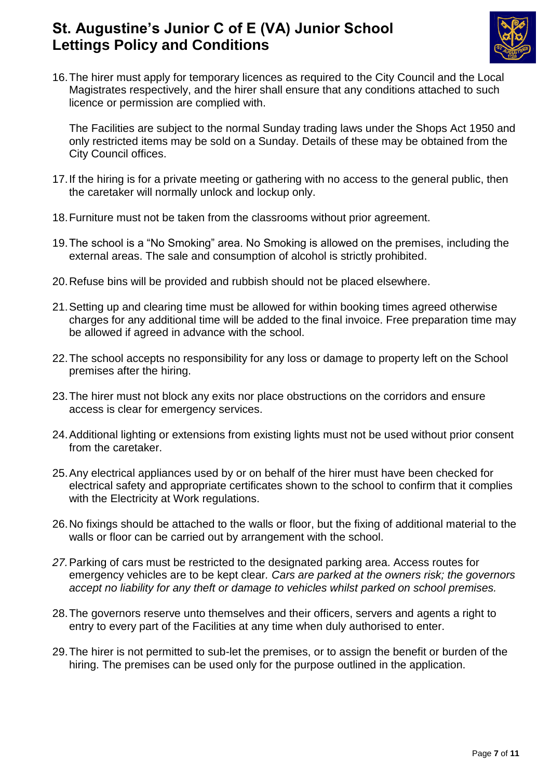

16.The hirer must apply for temporary licences as required to the City Council and the Local Magistrates respectively, and the hirer shall ensure that any conditions attached to such licence or permission are complied with.

The Facilities are subject to the normal Sunday trading laws under the Shops Act 1950 and only restricted items may be sold on a Sunday. Details of these may be obtained from the City Council offices.

- 17.If the hiring is for a private meeting or gathering with no access to the general public, then the caretaker will normally unlock and lockup only.
- 18.Furniture must not be taken from the classrooms without prior agreement.
- 19.The school is a "No Smoking" area. No Smoking is allowed on the premises, including the external areas. The sale and consumption of alcohol is strictly prohibited.
- 20.Refuse bins will be provided and rubbish should not be placed elsewhere.
- 21.Setting up and clearing time must be allowed for within booking times agreed otherwise charges for any additional time will be added to the final invoice. Free preparation time may be allowed if agreed in advance with the school.
- 22.The school accepts no responsibility for any loss or damage to property left on the School premises after the hiring.
- 23.The hirer must not block any exits nor place obstructions on the corridors and ensure access is clear for emergency services.
- 24.Additional lighting or extensions from existing lights must not be used without prior consent from the caretaker.
- 25.Any electrical appliances used by or on behalf of the hirer must have been checked for electrical safety and appropriate certificates shown to the school to confirm that it complies with the Electricity at Work regulations.
- 26.No fixings should be attached to the walls or floor, but the fixing of additional material to the walls or floor can be carried out by arrangement with the school.
- *27.*Parking of cars must be restricted to the designated parking area. Access routes for emergency vehicles are to be kept clear*. Cars are parked at the owners risk; the governors accept no liability for any theft or damage to vehicles whilst parked on school premises.*
- 28.The governors reserve unto themselves and their officers, servers and agents a right to entry to every part of the Facilities at any time when duly authorised to enter.
- 29.The hirer is not permitted to sub-let the premises, or to assign the benefit or burden of the hiring. The premises can be used only for the purpose outlined in the application.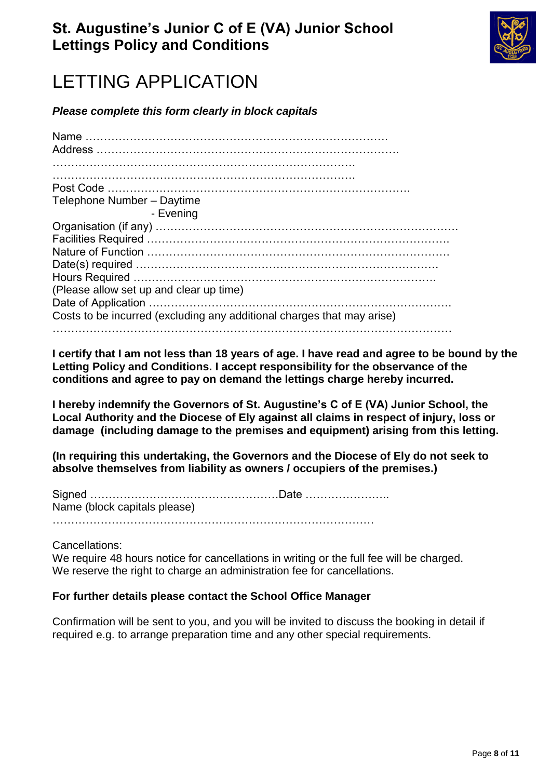

## LETTING APPLICATION

*Please complete this form clearly in block capitals*

| Telephone Number - Daytime                                             |
|------------------------------------------------------------------------|
| - Evening                                                              |
|                                                                        |
|                                                                        |
|                                                                        |
|                                                                        |
|                                                                        |
| (Please allow set up and clear up time)                                |
|                                                                        |
| Costs to be incurred (excluding any additional charges that may arise) |
|                                                                        |

**I certify that I am not less than 18 years of age. I have read and agree to be bound by the Letting Policy and Conditions. I accept responsibility for the observance of the conditions and agree to pay on demand the lettings charge hereby incurred.**

**I hereby indemnify the Governors of St. Augustine's C of E (VA) Junior School, the Local Authority and the Diocese of Ely against all claims in respect of injury, loss or damage (including damage to the premises and equipment) arising from this letting.** 

**(In requiring this undertaking, the Governors and the Diocese of Ely do not seek to absolve themselves from liability as owners / occupiers of the premises.)**

Signed ……………………………………………Date ………………….. Name (block capitals please)

……………………………………………………………………………

Cancellations:

We require 48 hours notice for cancellations in writing or the full fee will be charged. We reserve the right to charge an administration fee for cancellations.

#### **For further details please contact the School Office Manager**

Confirmation will be sent to you, and you will be invited to discuss the booking in detail if required e.g. to arrange preparation time and any other special requirements.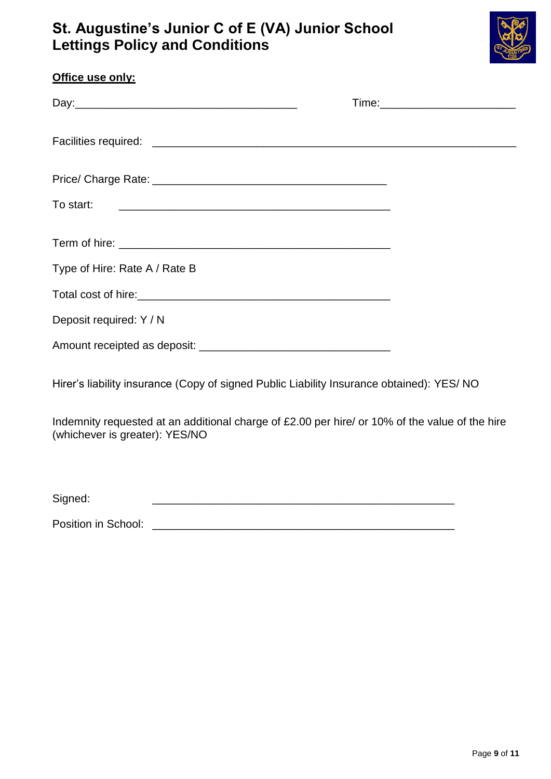

| Office use only:                                                                                                                 |  |
|----------------------------------------------------------------------------------------------------------------------------------|--|
|                                                                                                                                  |  |
|                                                                                                                                  |  |
|                                                                                                                                  |  |
|                                                                                                                                  |  |
|                                                                                                                                  |  |
| Type of Hire: Rate A / Rate B                                                                                                    |  |
|                                                                                                                                  |  |
| Deposit required: Y / N                                                                                                          |  |
|                                                                                                                                  |  |
| Hirer's liability insurance (Copy of signed Public Liability Insurance obtained): YES/ NO                                        |  |
| Indemnity requested at an additional charge of £2.00 per hire/ or 10% of the value of the hire<br>(whichever is greater): YES/NO |  |
|                                                                                                                                  |  |

Signed:

Position in School: \_\_\_\_\_\_\_\_\_\_\_\_\_\_\_\_\_\_\_\_\_\_\_\_\_\_\_\_\_\_\_\_\_\_\_\_\_\_\_\_\_\_\_\_\_\_\_\_\_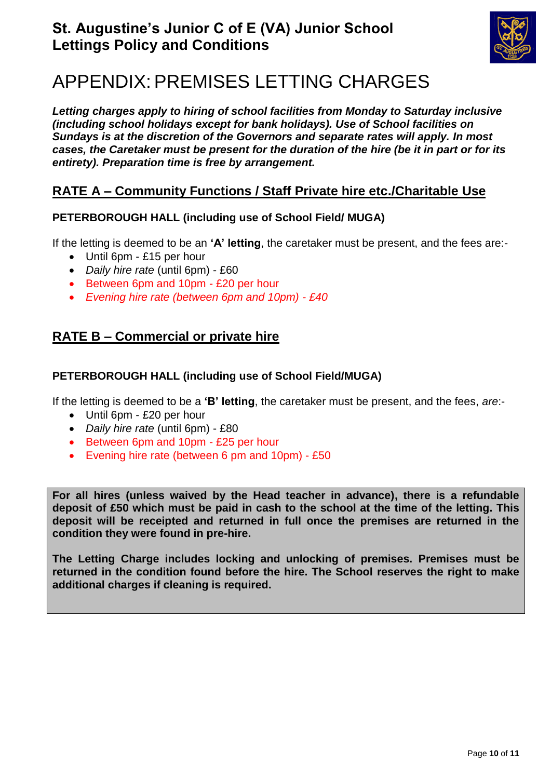

## APPENDIX: PREMISES LETTING CHARGES

*Letting charges apply to hiring of school facilities from Monday to Saturday inclusive (including school holidays except for bank holidays). Use of School facilities on Sundays is at the discretion of the Governors and separate rates will apply. In most cases, the Caretaker must be present for the duration of the hire (be it in part or for its entirety). Preparation time is free by arrangement.*

#### **RATE A – Community Functions / Staff Private hire etc./Charitable Use**

#### **PETERBOROUGH HALL (including use of School Field/ MUGA)**

If the letting is deemed to be an **'A' letting**, the caretaker must be present, and the fees are:-

- Until 6pm £15 per hour
- *Daily hire rate* (until 6pm) £60
- Between 6pm and 10pm £20 per hour
- *Evening hire rate (between 6pm and 10pm) - £40*

#### **RATE B – Commercial or private hire**

#### **PETERBOROUGH HALL (including use of School Field/MUGA)**

If the letting is deemed to be a **'B' letting**, the caretaker must be present, and the fees, *are*:-

- Until 6pm £20 per hour
- *Daily hire rate* (until 6pm) £80
- Between 6pm and 10pm £25 per hour
- Evening hire rate (between 6 pm and 10pm) £50

**For all hires (unless waived by the Head teacher in advance), there is a refundable deposit of £50 which must be paid in cash to the school at the time of the letting. This deposit will be receipted and returned in full once the premises are returned in the condition they were found in pre-hire.**

**The Letting Charge includes locking and unlocking of premises. Premises must be returned in the condition found before the hire. The School reserves the right to make additional charges if cleaning is required.**